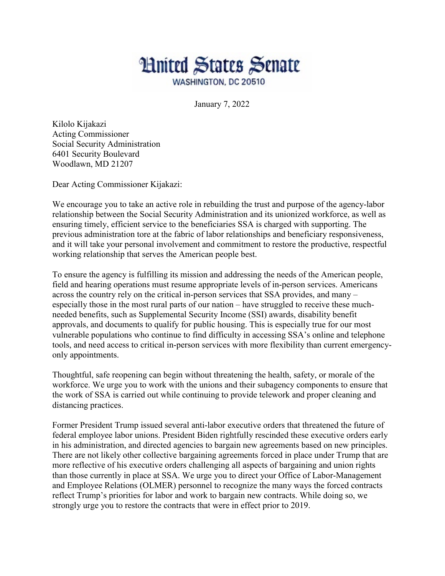

January 7, 2022

Kilolo Kijakazi Acting Commissioner Social Security Administration 6401 Security Boulevard Woodlawn, MD 21207

Dear Acting Commissioner Kijakazi:

We encourage you to take an active role in rebuilding the trust and purpose of the agency-labor relationship between the Social Security Administration and its unionized workforce, as well as ensuring timely, efficient service to the beneficiaries SSA is charged with supporting. The previous administration tore at the fabric of labor relationships and beneficiary responsiveness, and it will take your personal involvement and commitment to restore the productive, respectful working relationship that serves the American people best.

To ensure the agency is fulfilling its mission and addressing the needs of the American people, field and hearing operations must resume appropriate levels of in-person services. Americans across the country rely on the critical in-person services that SSA provides, and many – especially those in the most rural parts of our nation – have struggled to receive these muchneeded benefits, such as Supplemental Security Income (SSI) awards, disability benefit approvals, and documents to qualify for public housing. This is especially true for our most vulnerable populations who continue to find difficulty in accessing SSA's online and telephone tools, and need access to critical in-person services with more flexibility than current emergencyonly appointments.

Thoughtful, safe reopening can begin without threatening the health, safety, or morale of the workforce. We urge you to work with the unions and their subagency components to ensure that the work of SSA is carried out while continuing to provide telework and proper cleaning and distancing practices.

Former President Trump issued several anti-labor executive orders that threatened the future of federal employee labor unions. President Biden rightfully rescinded these executive orders early in his administration, and directed agencies to bargain new agreements based on new principles. There are not likely other collective bargaining agreements forced in place under Trump that are more reflective of his executive orders challenging all aspects of bargaining and union rights than those currently in place at SSA. We urge you to direct your Office of Labor-Management and Employee Relations (OLMER) personnel to recognize the many ways the forced contracts reflect Trump's priorities for labor and work to bargain new contracts. While doing so, we strongly urge you to restore the contracts that were in effect prior to 2019.